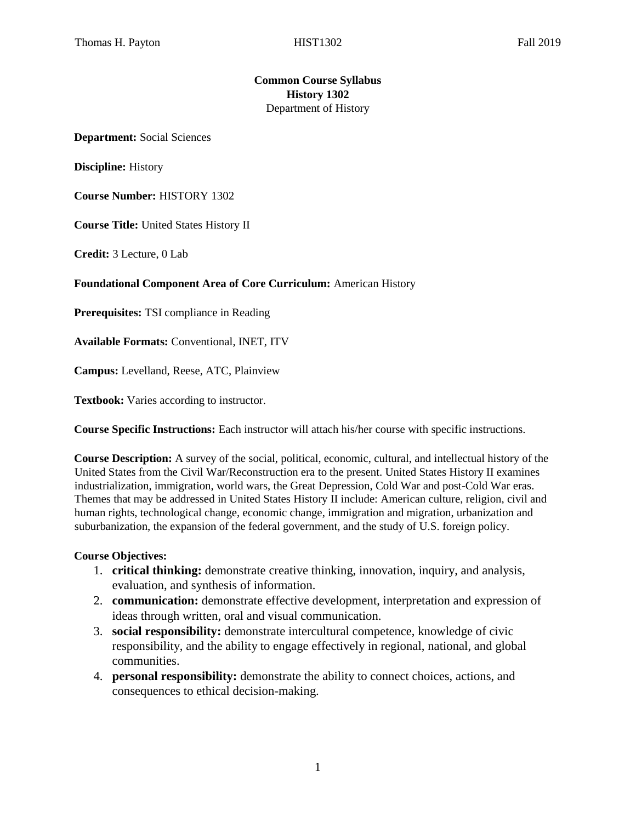## **Common Course Syllabus History 1302**  Department of History

**Department:** Social Sciences

**Discipline:** History

**Course Number:** HISTORY 1302

**Course Title:** United States History II

**Credit:** 3 Lecture, 0 Lab

#### **Foundational Component Area of Core Curriculum:** American History

**Prerequisites:** TSI compliance in Reading

**Available Formats:** Conventional, INET, ITV

**Campus:** Levelland, Reese, ATC, Plainview

**Textbook:** Varies according to instructor.

**Course Specific Instructions:** Each instructor will attach his/her course with specific instructions.

**Course Description:** A survey of the social, political, economic, cultural, and intellectual history of the United States from the Civil War/Reconstruction era to the present. United States History II examines industrialization, immigration, world wars, the Great Depression, Cold War and post-Cold War eras. Themes that may be addressed in United States History II include: American culture, religion, civil and human rights, technological change, economic change, immigration and migration, urbanization and suburbanization, the expansion of the federal government, and the study of U.S. foreign policy.

#### **Course Objectives:**

- 1. **critical thinking:** demonstrate creative thinking, innovation, inquiry, and analysis, evaluation, and synthesis of information.
- 2. **communication:** demonstrate effective development, interpretation and expression of ideas through written, oral and visual communication.
- 3. **social responsibility:** demonstrate intercultural competence, knowledge of civic responsibility, and the ability to engage effectively in regional, national, and global communities.
- 4. **personal responsibility:** demonstrate the ability to connect choices, actions, and consequences to ethical decision-making.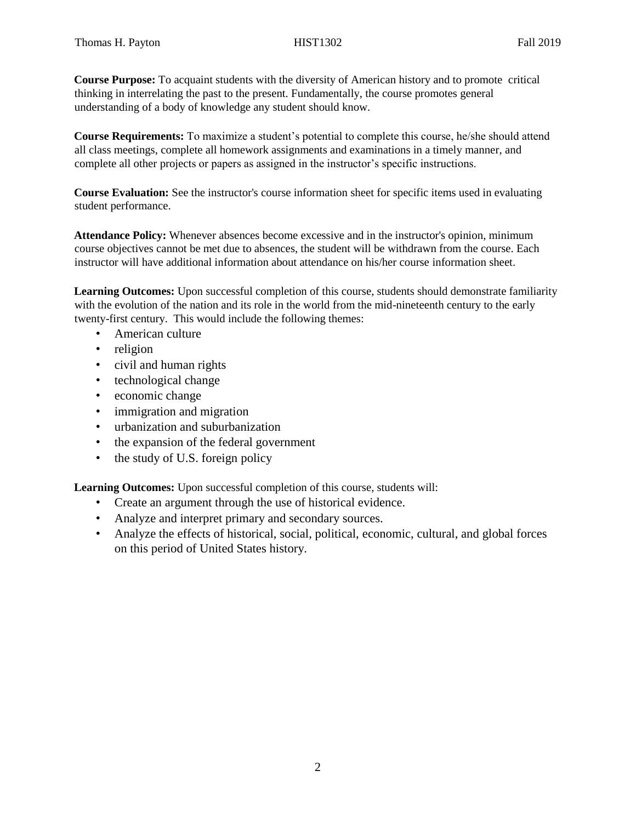**Course Purpose:** To acquaint students with the diversity of American history and to promote critical thinking in interrelating the past to the present. Fundamentally, the course promotes general understanding of a body of knowledge any student should know.

**Course Requirements:** To maximize a student's potential to complete this course, he/she should attend all class meetings, complete all homework assignments and examinations in a timely manner, and complete all other projects or papers as assigned in the instructor's specific instructions.

**Course Evaluation:** See the instructor's course information sheet for specific items used in evaluating student performance.

**Attendance Policy:** Whenever absences become excessive and in the instructor's opinion, minimum course objectives cannot be met due to absences, the student will be withdrawn from the course. Each instructor will have additional information about attendance on his/her course information sheet.

**Learning Outcomes:** Upon successful completion of this course, students should demonstrate familiarity with the evolution of the nation and its role in the world from the mid-nineteenth century to the early twenty-first century. This would include the following themes:

- American culture
- religion
- civil and human rights
- technological change
- economic change
- immigration and migration
- urbanization and suburbanization
- the expansion of the federal government
- the study of U.S. foreign policy

**Learning Outcomes:** Upon successful completion of this course, students will:

- Create an argument through the use of historical evidence.
- Analyze and interpret primary and secondary sources.
- Analyze the effects of historical, social, political, economic, cultural, and global forces on this period of United States history.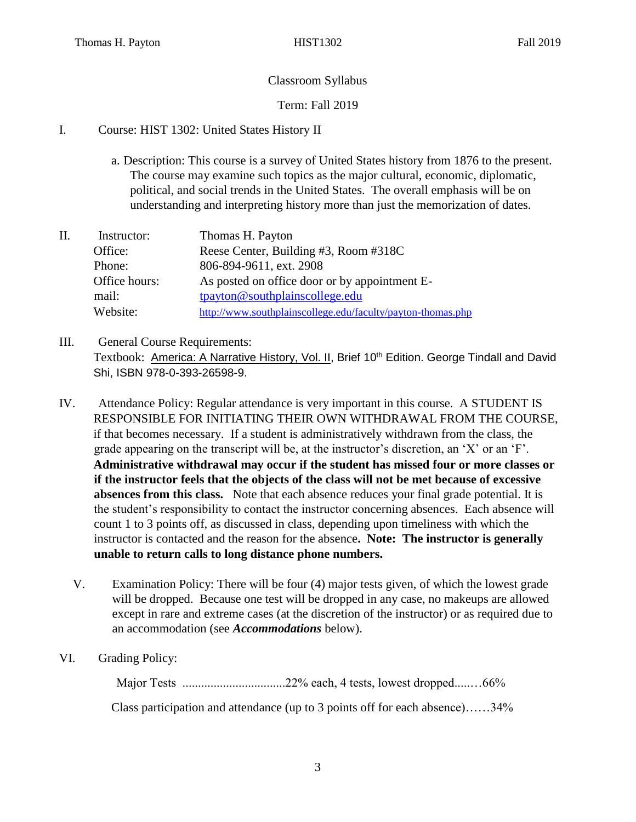# Classroom Syllabus

## Term: Fall 2019

## I. Course: HIST 1302: United States History II

- a. Description: This course is a survey of United States history from 1876 to the present. The course may examine such topics as the major cultural, economic, diplomatic, political, and social trends in the United States. The overall emphasis will be on understanding and interpreting history more than just the memorization of dates.
- II. Instructor: Thomas H. Payton Office: Reese Center, Building #3, Room #318C Phone: 806-894-9611, ext. 2908 Office hours: As posted on office door or by appointment Email: tpayton@southplainscollege.edu Website: <http://www.southplainscollege.edu/faculty/payton-thomas.php>
- III. General Course Requirements: Textbook: America: A Narrative History, Vol. II, Brief 10<sup>th</sup> Edition. George Tindall and David Shi, ISBN 978-0-393-26598-9.
- IV. Attendance Policy: Regular attendance is very important in this course. A STUDENT IS RESPONSIBLE FOR INITIATING THEIR OWN WITHDRAWAL FROM THE COURSE, if that becomes necessary. If a student is administratively withdrawn from the class, the grade appearing on the transcript will be, at the instructor's discretion, an 'X' or an 'F'. **Administrative withdrawal may occur if the student has missed four or more classes or if the instructor feels that the objects of the class will not be met because of excessive absences from this class.** Note that each absence reduces your final grade potential. It is the student's responsibility to contact the instructor concerning absences. Each absence will count 1 to 3 points off, as discussed in class, depending upon timeliness with which the instructor is contacted and the reason for the absence**. Note: The instructor is generally unable to return calls to long distance phone numbers.** 
	- V. Examination Policy: There will be four (4) major tests given, of which the lowest grade will be dropped. Because one test will be dropped in any case, no makeups are allowed except in rare and extreme cases (at the discretion of the instructor) or as required due to an accommodation (see *Accommodations* below).
- VI. Grading Policy:

Major Tests .................................22% each, 4 tests, lowest dropped.....…66%

Class participation and attendance (up to 3 points off for each absence)……34%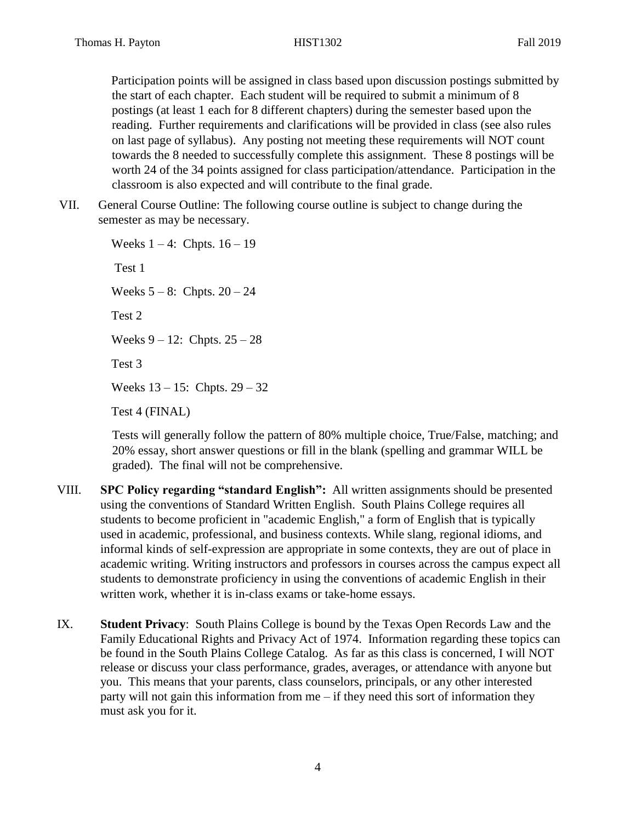Participation points will be assigned in class based upon discussion postings submitted by the start of each chapter. Each student will be required to submit a minimum of 8 postings (at least 1 each for 8 different chapters) during the semester based upon the reading. Further requirements and clarifications will be provided in class (see also rules on last page of syllabus). Any posting not meeting these requirements will NOT count towards the 8 needed to successfully complete this assignment. These 8 postings will be worth 24 of the 34 points assigned for class participation/attendance. Participation in the classroom is also expected and will contribute to the final grade.

VII. General Course Outline: The following course outline is subject to change during the semester as may be necessary.

> Weeks  $1 - 4$ : Chpts.  $16 - 19$ Test 1 Weeks  $5 - 8$ : Chpts.  $20 - 24$ Test 2 Weeks  $9 - 12$ : Chpts.  $25 - 28$ Test 3 Weeks 13 – 15: Chpts. 29 – 32 Test 4 (FINAL)

Tests will generally follow the pattern of 80% multiple choice, True/False, matching; and 20% essay, short answer questions or fill in the blank (spelling and grammar WILL be graded). The final will not be comprehensive.

- VIII. **SPC Policy regarding "standard English":** All written assignments should be presented using the conventions of Standard Written English. South Plains College requires all students to become proficient in "academic English," a form of English that is typically used in academic, professional, and business contexts. While slang, regional idioms, and informal kinds of self-expression are appropriate in some contexts, they are out of place in academic writing. Writing instructors and professors in courses across the campus expect all students to demonstrate proficiency in using the conventions of academic English in their written work, whether it is in-class exams or take-home essays.
- IX. **Student Privacy**: South Plains College is bound by the Texas Open Records Law and the Family Educational Rights and Privacy Act of 1974. Information regarding these topics can be found in the South Plains College Catalog. As far as this class is concerned, I will NOT release or discuss your class performance, grades, averages, or attendance with anyone but you. This means that your parents, class counselors, principals, or any other interested party will not gain this information from me – if they need this sort of information they must ask you for it.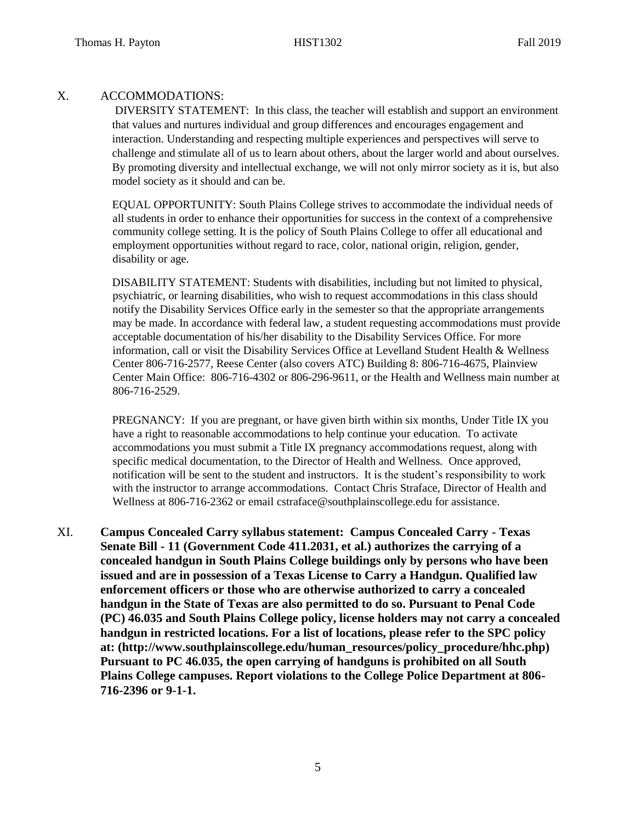#### X. ACCOMMODATIONS:

DIVERSITY STATEMENT: In this class, the teacher will establish and support an environment that values and nurtures individual and group differences and encourages engagement and interaction. Understanding and respecting multiple experiences and perspectives will serve to challenge and stimulate all of us to learn about others, about the larger world and about ourselves. By promoting diversity and intellectual exchange, we will not only mirror society as it is, but also model society as it should and can be.

EQUAL OPPORTUNITY: South Plains College strives to accommodate the individual needs of all students in order to enhance their opportunities for success in the context of a comprehensive community college setting. It is the policy of South Plains College to offer all educational and employment opportunities without regard to race, color, national origin, religion, gender, disability or age.

DISABILITY STATEMENT: Students with disabilities, including but not limited to physical, psychiatric, or learning disabilities, who wish to request accommodations in this class should notify the Disability Services Office early in the semester so that the appropriate arrangements may be made. In accordance with federal law, a student requesting accommodations must provide acceptable documentation of his/her disability to the Disability Services Office. For more information, call or visit the Disability Services Office at Levelland Student Health & Wellness Center 806-716-2577, Reese Center (also covers ATC) Building 8: 806-716-4675, Plainview Center Main Office: 806-716-4302 or 806-296-9611, or the Health and Wellness main number at 806-716-2529.

PREGNANCY: If you are pregnant, or have given birth within six months, Under Title IX you have a right to reasonable accommodations to help continue your education. To activate accommodations you must submit a Title IX pregnancy accommodations request, along with specific medical documentation, to the Director of Health and Wellness. Once approved, notification will be sent to the student and instructors. It is the student's responsibility to work with the instructor to arrange accommodations. Contact Chris Straface, Director of Health and Wellness at 806-716-2362 or email [cstraface@southplainscollege.edu](mailto:cstraface@southplainscollege.edu) for assistance.

XI. **Campus Concealed Carry syllabus statement: Campus Concealed Carry - Texas Senate Bill - 11 (Government Code 411.2031, et al.) authorizes the carrying of a concealed handgun in South Plains College buildings only by persons who have been issued and are in possession of a Texas License to Carry a Handgun. Qualified law enforcement officers or those who are otherwise authorized to carry a concealed handgun in the State of Texas are also permitted to do so. Pursuant to Penal Code (PC) 46.035 and South Plains College policy, license holders may not carry a concealed handgun in restricted locations. For a list of locations, please refer to the SPC policy at: (http://www.southplainscollege.edu/human\_resources/policy\_procedure/hhc.php) Pursuant to PC 46.035, the open carrying of handguns is prohibited on all South Plains College campuses. Report violations to the College Police Department at 806- 716-2396 or 9-1-1.**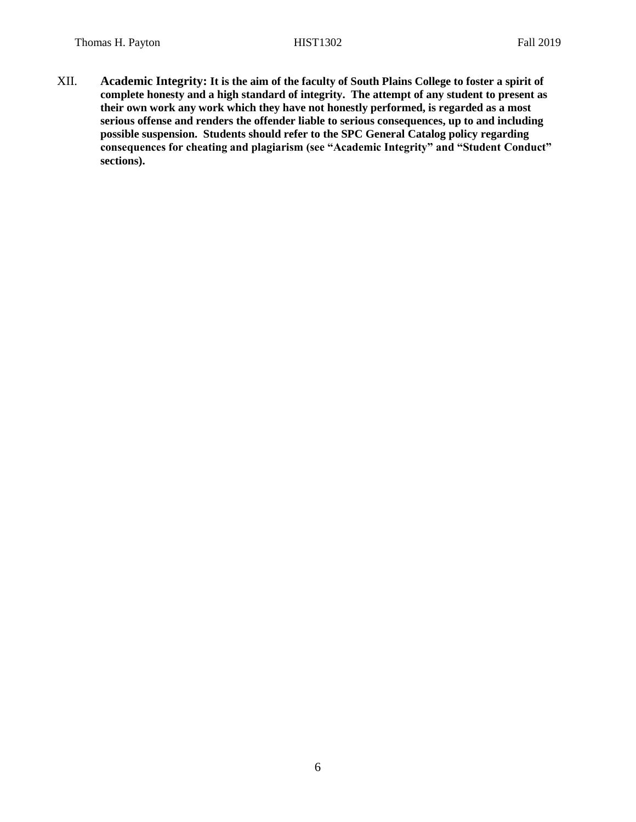XII. **Academic Integrity: It is the aim of the faculty of South Plains College to foster a spirit of complete honesty and a high standard of integrity. The attempt of any student to present as their own work any work which they have not honestly performed, is regarded as a most serious offense and renders the offender liable to serious consequences, up to and including possible suspension. Students should refer to the SPC General Catalog policy regarding consequences for cheating and plagiarism (see "Academic Integrity" and "Student Conduct" sections).**